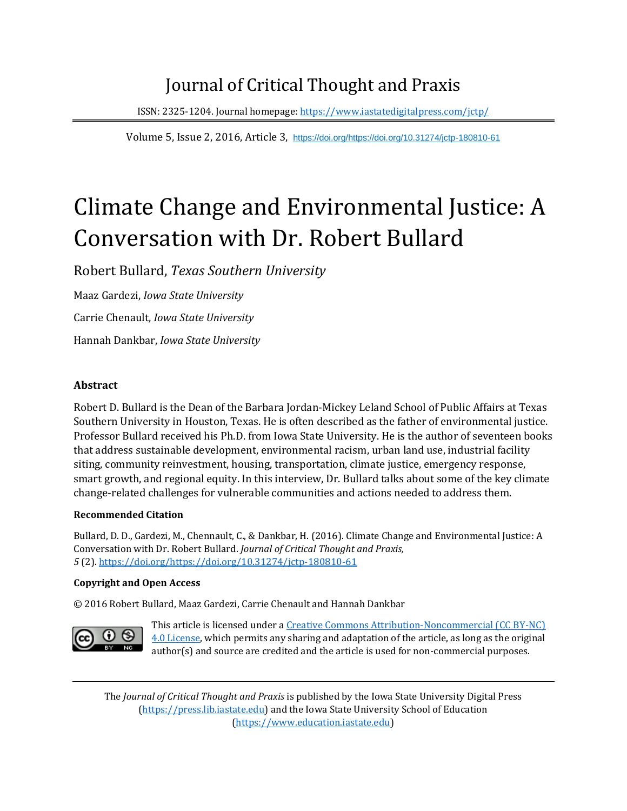## Journal of Critical Thought and Praxis

ISSN: 2325-1204. Journal homepage[: https://www.iastatedigitalpress.com/jctp/](https://www.iastatedigitalpress.com/jctp/)

Volume 5, Issue 2, 2016, Article 3, [https://doi.org/https://doi.org/10.31274/jctp-180810-61](https://doi.org/https:/doi.org/10.31274/jctp-180810-61)

# Climate Change and Environmental Justice: A Conversation with Dr. Robert Bullard

Robert Bullard, *Texas Southern University*

Maaz Gardezi, *Iowa State University*

Carrie Chenault, *Iowa State University*

Hannah Dankbar, *Iowa State University*

#### **Abstract**

Robert D. Bullard is the Dean of the Barbara Jordan-Mickey Leland School of Public Affairs at Texas Southern University in Houston, Texas. He is often described as the father of environmental justice. Professor Bullard received his Ph.D. from Iowa State University. He is the author of seventeen books that address sustainable development, environmental racism, urban land use, industrial facility siting, community reinvestment, housing, transportation, climate justice, emergency response, smart growth, and regional equity. In this interview, Dr. Bullard talks about some of the key climate change-related challenges for vulnerable communities and actions needed to address them.

#### **Recommended Citation**

Bullard, D. D., Gardezi, M., Chennault, C., & Dankbar, H. (2016). Climate Change and Environmental Justice: A Conversation with Dr. Robert Bullard. *Journal of Critical Thought and Praxis, 5* (2). [https://doi.org/https://doi.org/10.31274/jctp-180810-61](https://doi.org/https:/doi.org/10.31274/jctp-180810-61)

#### **Copyright and Open Access**

© 2016 Robert Bullard, Maaz Gardezi, Carrie Chenault and Hannah Dankbar



This article is licensed under a Creative Commons Attribution-Noncommercial (CC BY-NC) [4.0 License,](https://creativecommons.org/licenses/by-nc/4.0/) which permits any sharing and adaptation of the article, as long as the original author(s) and source are credited and the article is used for non-commercial purposes.

The *Journal of Critical Thought and Praxis* is published by the Iowa State University Digital Press [\(https://press.lib.iastate.edu\)](https://press.lib.iastate.edu/) and the Iowa State University School of Education [\(https://www.education.iastate.edu\)](https://www.education.iastate.edu/)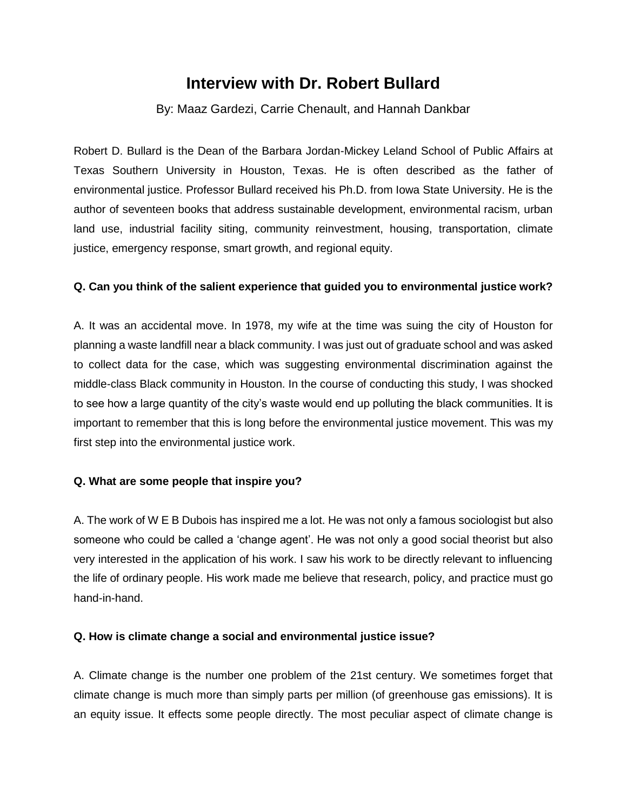## **Interview with Dr. Robert Bullard**

#### By: Maaz Gardezi, Carrie Chenault, and Hannah Dankbar

Robert D. Bullard is the Dean of the Barbara Jordan-Mickey Leland School of Public Affairs at Texas Southern University in Houston, Texas. He is often described as the father of environmental justice. Professor Bullard received his Ph.D. from Iowa State University. He is the author of seventeen books that address sustainable development, environmental racism, urban land use, industrial facility siting, community reinvestment, housing, transportation, climate justice, emergency response, smart growth, and regional equity.

#### **Q. Can you think of the salient experience that guided you to environmental justice work?**

A. It was an accidental move. In 1978, my wife at the time was suing the city of Houston for planning a waste landfill near a black community. I was just out of graduate school and was asked to collect data for the case, which was suggesting environmental discrimination against the middle-class Black community in Houston. In the course of conducting this study, I was shocked to see how a large quantity of the city's waste would end up polluting the black communities. It is important to remember that this is long before the environmental justice movement. This was my first step into the environmental justice work.

#### **Q. What are some people that inspire you?**

A. The work of W E B Dubois has inspired me a lot. He was not only a famous sociologist but also someone who could be called a 'change agent'. He was not only a good social theorist but also very interested in the application of his work. I saw his work to be directly relevant to influencing the life of ordinary people. His work made me believe that research, policy, and practice must go hand-in-hand.

#### **Q. How is climate change a social and environmental justice issue?**

A. Climate change is the number one problem of the 21st century. We sometimes forget that climate change is much more than simply parts per million (of greenhouse gas emissions). It is an equity issue. It effects some people directly. The most peculiar aspect of climate change is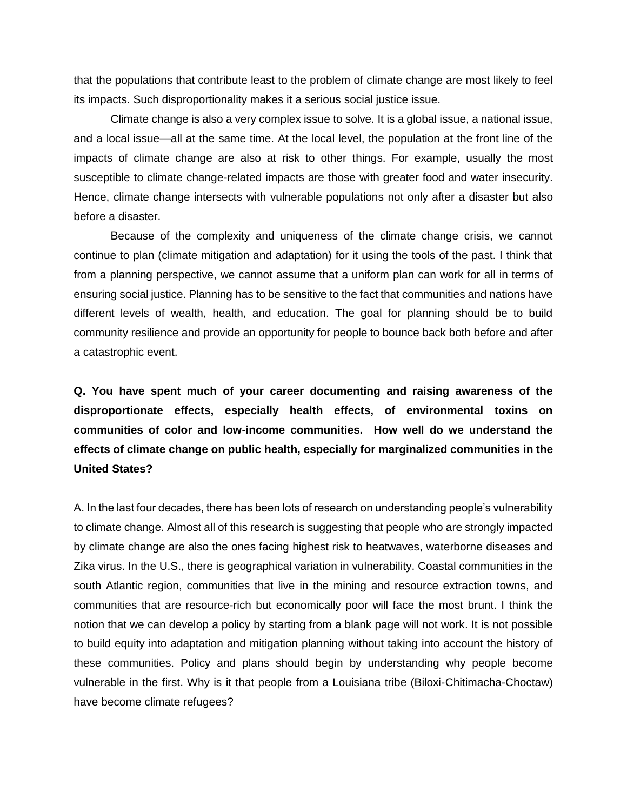that the populations that contribute least to the problem of climate change are most likely to feel its impacts. Such disproportionality makes it a serious social justice issue.

Climate change is also a very complex issue to solve. It is a global issue, a national issue, and a local issue—all at the same time. At the local level, the population at the front line of the impacts of climate change are also at risk to other things. For example, usually the most susceptible to climate change-related impacts are those with greater food and water insecurity. Hence, climate change intersects with vulnerable populations not only after a disaster but also before a disaster.

Because of the complexity and uniqueness of the climate change crisis, we cannot continue to plan (climate mitigation and adaptation) for it using the tools of the past. I think that from a planning perspective, we cannot assume that a uniform plan can work for all in terms of ensuring social justice. Planning has to be sensitive to the fact that communities and nations have different levels of wealth, health, and education. The goal for planning should be to build community resilience and provide an opportunity for people to bounce back both before and after a catastrophic event.

**Q. You have spent much of your career documenting and raising awareness of the disproportionate effects, especially health effects, of environmental toxins on communities of color and low-income communities. How well do we understand the effects of climate change on public health, especially for marginalized communities in the United States?**

A. In the last four decades, there has been lots of research on understanding people's vulnerability to climate change. Almost all of this research is suggesting that people who are strongly impacted by climate change are also the ones facing highest risk to heatwaves, waterborne diseases and Zika virus. In the U.S., there is geographical variation in vulnerability. Coastal communities in the south Atlantic region, communities that live in the mining and resource extraction towns, and communities that are resource-rich but economically poor will face the most brunt. I think the notion that we can develop a policy by starting from a blank page will not work. It is not possible to build equity into adaptation and mitigation planning without taking into account the history of these communities. Policy and plans should begin by understanding why people become vulnerable in the first. Why is it that people from a Louisiana tribe (Biloxi-Chitimacha-Choctaw) have become climate refugees?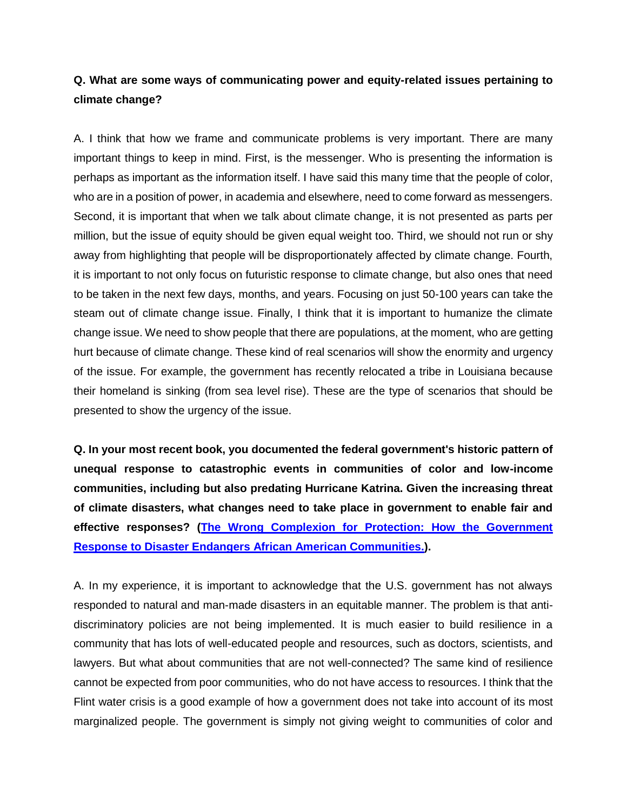## **Q. What are some ways of communicating power and equity-related issues pertaining to climate change?**

A. I think that how we frame and communicate problems is very important. There are many important things to keep in mind. First, is the messenger. Who is presenting the information is perhaps as important as the information itself. I have said this many time that the people of color, who are in a position of power, in academia and elsewhere, need to come forward as messengers. Second, it is important that when we talk about climate change, it is not presented as parts per million, but the issue of equity should be given equal weight too. Third, we should not run or shy away from highlighting that people will be disproportionately affected by climate change. Fourth, it is important to not only focus on futuristic response to climate change, but also ones that need to be taken in the next few days, months, and years. Focusing on just 50-100 years can take the steam out of climate change issue. Finally, I think that it is important to humanize the climate change issue. We need to show people that there are populations, at the moment, who are getting hurt because of climate change. These kind of real scenarios will show the enormity and urgency of the issue. For example, the government has recently relocated a tribe in Louisiana because their homeland is sinking (from sea level rise). These are the type of scenarios that should be presented to show the urgency of the issue.

**Q. In your most recent book, you documented the federal government's historic pattern of unequal response to catastrophic events in communities of color and low-income communities, including but also predating Hurricane Katrina. Given the increasing threat of climate disasters, what changes need to take place in government to enable fair and effective responses? [\(The Wrong Complexion for Protection: How the Government](http://nyupress.org/books/9780814799932/)  [Response to Disaster Endangers African American Communities.](http://nyupress.org/books/9780814799932/)).**

A. In my experience, it is important to acknowledge that the U.S. government has not always responded to natural and man-made disasters in an equitable manner. The problem is that antidiscriminatory policies are not being implemented. It is much easier to build resilience in a community that has lots of well-educated people and resources, such as doctors, scientists, and lawyers. But what about communities that are not well-connected? The same kind of resilience cannot be expected from poor communities, who do not have access to resources. I think that the Flint water crisis is a good example of how a government does not take into account of its most marginalized people. The government is simply not giving weight to communities of color and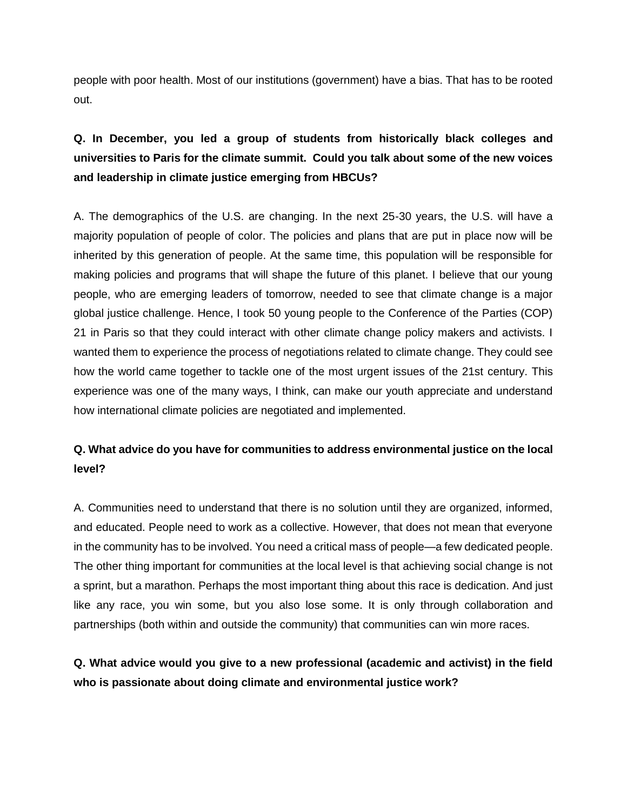people with poor health. Most of our institutions (government) have a bias. That has to be rooted out.

## **Q. In December, you led a group of students from historically black colleges and universities to Paris for the climate summit. Could you talk about some of the new voices and leadership in climate justice emerging from HBCUs?**

A. The demographics of the U.S. are changing. In the next 25-30 years, the U.S. will have a majority population of people of color. The policies and plans that are put in place now will be inherited by this generation of people. At the same time, this population will be responsible for making policies and programs that will shape the future of this planet. I believe that our young people, who are emerging leaders of tomorrow, needed to see that climate change is a major global justice challenge. Hence, I took 50 young people to the Conference of the Parties (COP) 21 in Paris so that they could interact with other climate change policy makers and activists. I wanted them to experience the process of negotiations related to climate change. They could see how the world came together to tackle one of the most urgent issues of the 21st century. This experience was one of the many ways, I think, can make our youth appreciate and understand how international climate policies are negotiated and implemented.

## **Q. What advice do you have for communities to address environmental justice on the local level?**

A. Communities need to understand that there is no solution until they are organized, informed, and educated. People need to work as a collective. However, that does not mean that everyone in the community has to be involved. You need a critical mass of people—a few dedicated people. The other thing important for communities at the local level is that achieving social change is not a sprint, but a marathon. Perhaps the most important thing about this race is dedication. And just like any race, you win some, but you also lose some. It is only through collaboration and partnerships (both within and outside the community) that communities can win more races.

## **Q. What advice would you give to a new professional (academic and activist) in the field who is passionate about doing climate and environmental justice work?**